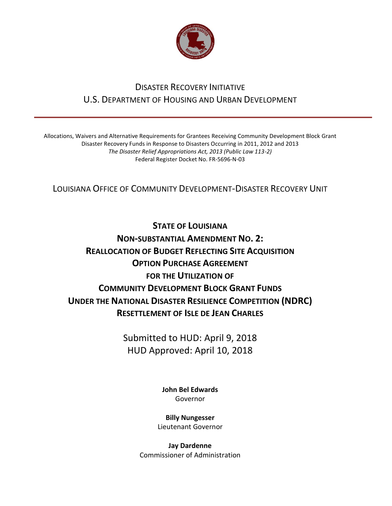

## DISASTER RECOVERY INITIATIVE U.S. DEPARTMENT OF HOUSING AND URBAN DEVELOPMENT

Allocations, Waivers and Alternative Requirements for Grantees Receiving Community Development Block Grant Disaster Recovery Funds in Response to Disasters Occurring in 2011, 2012 and 2013 *The Disaster Relief Appropriations Act, 2013 (Public Law 113-2)* Federal Register Docket No. FR-5696-N-03

LOUISIANA OFFICE OF COMMUNITY DEVELOPMENT-DISASTER RECOVERY UNIT

**STATE OF LOUISIANA NON-SUBSTANTIAL AMENDMENT NO. 2: REALLOCATION OF BUDGET REFLECTING SITE ACQUISITION OPTION PURCHASE AGREEMENT FOR THE UTILIZATION OF COMMUNITY DEVELOPMENT BLOCK GRANT FUNDS UNDER THE NATIONAL DISASTER RESILIENCE COMPETITION (NDRC) RESETTLEMENT OF ISLE DE JEAN CHARLES**

> Submitted to HUD: April 9, 2018 HUD Approved: April 10, 2018

> > **[John Bel Edwards](https://www.facebook.com/LouisianaGov/)** Governor

**Billy Nungesser** Lieutenant Governor

**Jay Dardenne** Commissioner of Administration